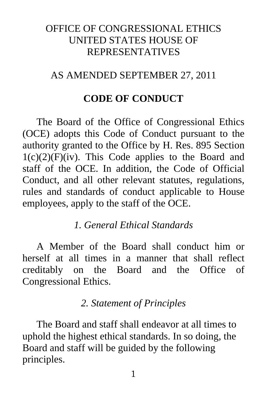## OFFICE OF CONGRESSIONAL ETHICS UNITED STATES HOUSE OF REPRESENTATIVES

## AS AMENDED SEPTEMBER 27, 2011

## **CODE OF CONDUCT**

The Board of the Office of Congressional Ethics (OCE) adopts this Code of Conduct pursuant to the authority granted to the Office by H. Res. 895 Section  $1(c)(2)(F)(iv)$ . This Code applies to the Board and staff of the OCE. In addition, the Code of Official Conduct, and all other relevant statutes, regulations, rules and standards of conduct applicable to House employees, apply to the staff of the OCE.

## *1. General Ethical Standards*

A Member of the Board shall conduct him or herself at all times in a manner that shall reflect creditably on the Board and the Office of Congressional Ethics.

## *2. Statement of Principles*

The Board and staff shall endeavor at all times to uphold the highest ethical standards. In so doing, the Board and staff will be guided by the following principles.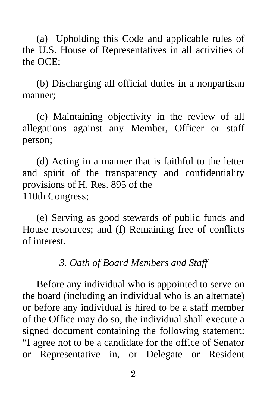(a) Upholding this Code and applicable rules of the U.S. House of Representatives in all activities of the OCE;

(b) Discharging all official duties in a nonpartisan manner;

(c) Maintaining objectivity in the review of all allegations against any Member, Officer or staff person;

(d) Acting in a manner that is faithful to the letter and spirit of the transparency and confidentiality provisions of H. Res. 895 of the 110th Congress;

(e) Serving as good stewards of public funds and House resources; and (f) Remaining free of conflicts of interest.

## *3. Oath of Board Members and Staff*

Before any individual who is appointed to serve on the board (including an individual who is an alternate) or before any individual is hired to be a staff member of the Office may do so, the individual shall execute a signed document containing the following statement: "I agree not to be a candidate for the office of Senator or Representative in, or Delegate or Resident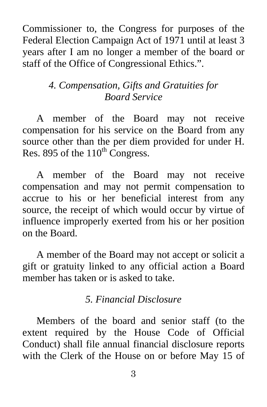Commissioner to, the Congress for purposes of the Federal Election Campaign Act of 1971 until at least 3 years after I am no longer a member of the board or staff of the Office of Congressional Ethics.".

# *4. Compensation, Gifts and Gratuities for Board Service*

A member of the Board may not receive compensation for his service on the Board from any source other than the per diem provided for under H. Res. 895 of the  $110^{th}$  Congress.

A member of the Board may not receive compensation and may not permit compensation to accrue to his or her beneficial interest from any source, the receipt of which would occur by virtue of influence improperly exerted from his or her position on the Board.

A member of the Board may not accept or solicit a gift or gratuity linked to any official action a Board member has taken or is asked to take.

## *5. Financial Disclosure*

Members of the board and senior staff (to the extent required by the House Code of Official Conduct) shall file annual financial disclosure reports with the Clerk of the House on or before May 15 of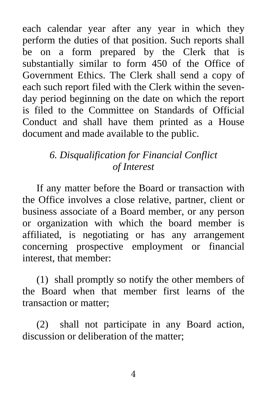each calendar year after any year in which they perform the duties of that position. Such reports shall be on a form prepared by the Clerk that is substantially similar to form 450 of the Office of Government Ethics. The Clerk shall send a copy of each such report filed with the Clerk within the sevenday period beginning on the date on which the report is filed to the Committee on Standards of Official Conduct and shall have them printed as a House document and made available to the public.

# *6. Disqualification for Financial Conflict of Interest*

If any matter before the Board or transaction with the Office involves a close relative, partner, client or business associate of a Board member, or any person or organization with which the board member is affiliated, is negotiating or has any arrangement concerning prospective employment or financial interest, that member:

(1) shall promptly so notify the other members of the Board when that member first learns of the transaction or matter;

(2) shall not participate in any Board action, discussion or deliberation of the matter;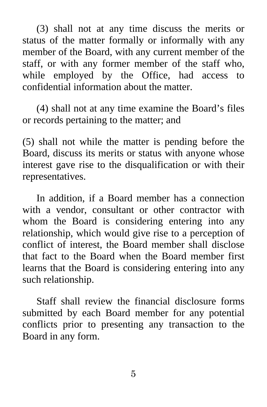(3) shall not at any time discuss the merits or status of the matter formally or informally with any member of the Board, with any current member of the staff, or with any former member of the staff who, while employed by the Office, had access to confidential information about the matter.

(4) shall not at any time examine the Board's files or records pertaining to the matter; and

(5) shall not while the matter is pending before the Board, discuss its merits or status with anyone whose interest gave rise to the disqualification or with their representatives.

In addition, if a Board member has a connection with a vendor, consultant or other contractor with whom the Board is considering entering into any relationship, which would give rise to a perception of conflict of interest, the Board member shall disclose that fact to the Board when the Board member first learns that the Board is considering entering into any such relationship.

Staff shall review the financial disclosure forms submitted by each Board member for any potential conflicts prior to presenting any transaction to the Board in any form.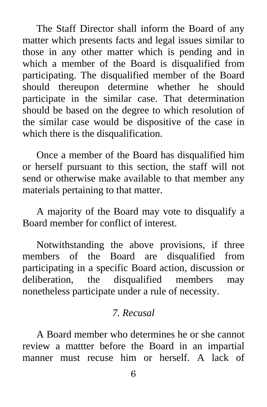The Staff Director shall inform the Board of any matter which presents facts and legal issues similar to those in any other matter which is pending and in which a member of the Board is disqualified from participating. The disqualified member of the Board should thereupon determine whether he should participate in the similar case. That determination should be based on the degree to which resolution of the similar case would be dispositive of the case in which there is the disqualification.

Once a member of the Board has disqualified him or herself pursuant to this section, the staff will not send or otherwise make available to that member any materials pertaining to that matter.

A majority of the Board may vote to disqualify a Board member for conflict of interest.

Notwithstanding the above provisions, if three members of the Board are disqualified from participating in a specific Board action, discussion or deliberation, the disqualified members may nonetheless participate under a rule of necessity.

## *7. Recusal*

A Board member who determines he or she cannot review a mattter before the Board in an impartial manner must recuse him or herself. A lack of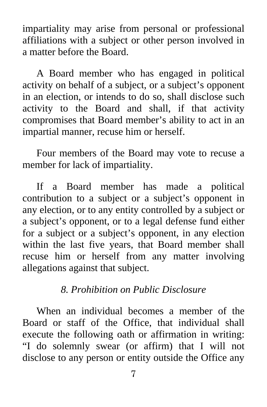impartiality may arise from personal or professional affiliations with a subject or other person involved in a matter before the Board.

A Board member who has engaged in political activity on behalf of a subject, or a subject's opponent in an election, or intends to do so, shall disclose such activity to the Board and shall, if that activity compromises that Board member's ability to act in an impartial manner, recuse him or herself.

Four members of the Board may vote to recuse a member for lack of impartiality.

If a Board member has made a political contribution to a subject or a subject's opponent in any election, or to any entity controlled by a subject or a subject's opponent, or to a legal defense fund either for a subject or a subject's opponent, in any election within the last five years, that Board member shall recuse him or herself from any matter involving allegations against that subject.

## *8. Prohibition on Public Disclosure*

When an individual becomes a member of the Board or staff of the Office, that individual shall execute the following oath or affirmation in writing: "I do solemnly swear (or affirm) that I will not disclose to any person or entity outside the Office any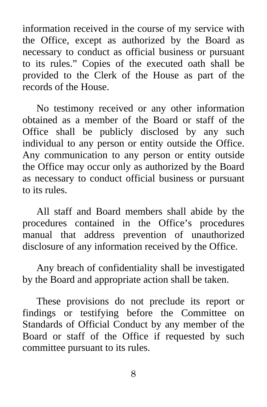information received in the course of my service with the Office, except as authorized by the Board as necessary to conduct as official business or pursuant to its rules." Copies of the executed oath shall be provided to the Clerk of the House as part of the records of the House.

No testimony received or any other information obtained as a member of the Board or staff of the Office shall be publicly disclosed by any such individual to any person or entity outside the Office. Any communication to any person or entity outside the Office may occur only as authorized by the Board as necessary to conduct official business or pursuant to its rules.

All staff and Board members shall abide by the procedures contained in the Office's procedures manual that address prevention of unauthorized disclosure of any information received by the Office.

Any breach of confidentiality shall be investigated by the Board and appropriate action shall be taken.

These provisions do not preclude its report or findings or testifying before the Committee on Standards of Official Conduct by any member of the Board or staff of the Office if requested by such committee pursuant to its rules.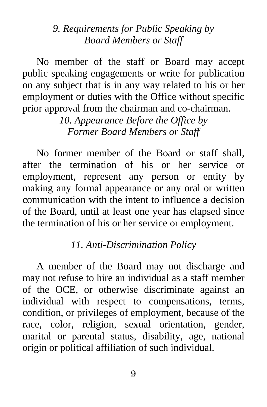## *9. Requirements for Public Speaking by Board Members or Staff*

No member of the staff or Board may accept public speaking engagements or write for publication on any subject that is in any way related to his or her employment or duties with the Office without specific prior approval from the chairman and co-chairman.

> *10. Appearance Before the Office by Former Board Members or Staff*

No former member of the Board or staff shall, after the termination of his or her service or employment, represent any person or entity by making any formal appearance or any oral or written communication with the intent to influence a decision of the Board, until at least one year has elapsed since the termination of his or her service or employment.

#### *11. Anti-Discrimination Policy*

A member of the Board may not discharge and may not refuse to hire an individual as a staff member of the OCE, or otherwise discriminate against an individual with respect to compensations, terms, condition, or privileges of employment, because of the race, color, religion, sexual orientation, gender, marital or parental status, disability, age, national origin or political affiliation of such individual.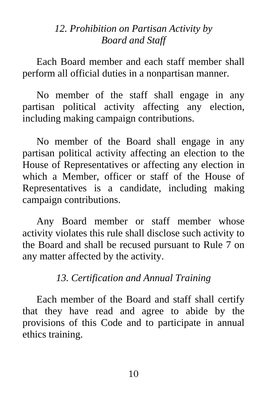## *12. Prohibition on Partisan Activity by Board and Staff*

Each Board member and each staff member shall perform all official duties in a nonpartisan manner.

No member of the staff shall engage in any partisan political activity affecting any election, including making campaign contributions.

No member of the Board shall engage in any partisan political activity affecting an election to the House of Representatives or affecting any election in which a Member, officer or staff of the House of Representatives is a candidate, including making campaign contributions.

Any Board member or staff member whose activity violates this rule shall disclose such activity to the Board and shall be recused pursuant to Rule 7 on any matter affected by the activity.

# *13. Certification and Annual Training*

Each member of the Board and staff shall certify that they have read and agree to abide by the provisions of this Code and to participate in annual ethics training.